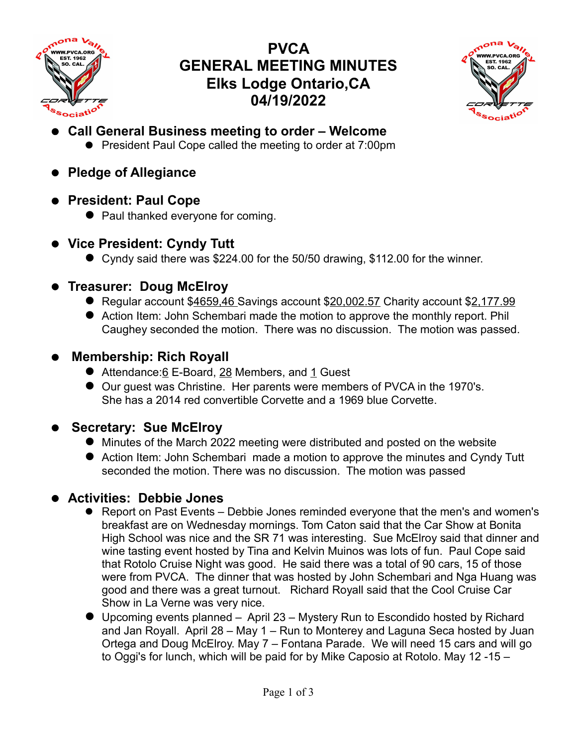

# **PVCA GENERAL MEETING MINUTES Elks Lodge Ontario,CA 04/19/2022**



- **Call General Business meeting to order Welcome**
	- **•** President Paul Cope called the meeting to order at 7:00pm
- **Pledge of Allegiance**
- **President: Paul Cope**
	- Paul thanked everyone for coming.
- **Vice President: Cyndy Tutt**
	- Cyndy said there was \$224.00 for the 50/50 drawing, \$112.00 for the winner.

## **Treasurer: Doug McElroy**

- Regular account \$4659,46 Savings account \$20,002.57 Charity account \$2,177.99
- Action Item: John Schembari made the motion to approve the monthly report. Phil Caughey seconded the motion. There was no discussion. The motion was passed.

## **Membership: Rich Royall**

- Attendance:6 E-Board, 28 Members, and 1 Guest
- Our guest was Christine. Her parents were members of PVCA in the 1970's. She has a 2014 red convertible Corvette and a 1969 blue Corvette.

## **Secretary: Sue McElroy**

- Minutes of the March 2022 meeting were distributed and posted on the website
- Action Item: John Schembari made a motion to approve the minutes and Cyndy Tutt seconded the motion. There was no discussion. The motion was passed

## **Activities: Debbie Jones**

- Report on Past Events Debbie Jones reminded everyone that the men's and women's breakfast are on Wednesday mornings. Tom Caton said that the Car Show at Bonita High School was nice and the SR 71 was interesting. Sue McElroy said that dinner and wine tasting event hosted by Tina and Kelvin Muinos was lots of fun. Paul Cope said that Rotolo Cruise Night was good. He said there was a total of 90 cars, 15 of those were from PVCA. The dinner that was hosted by John Schembari and Nga Huang was good and there was a great turnout. Richard Royall said that the Cool Cruise Car Show in La Verne was very nice.
- Upcoming events planned April 23 Mystery Run to Escondido hosted by Richard and Jan Royall. April 28 – May 1 – Run to Monterey and Laguna Seca hosted by Juan Ortega and Doug McElroy. May 7 – Fontana Parade. We will need 15 cars and will go to Oggi's for lunch, which will be paid for by Mike Caposio at Rotolo. May 12 -15 –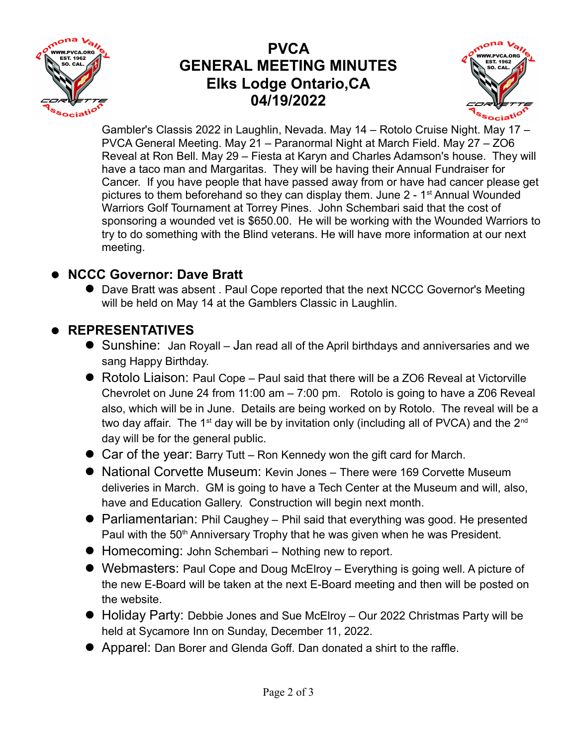

## **PVCA GENERAL MEETING MINUTES Elks Lodge Ontario,CA 04/19/2022**



Gambler's Classis 2022 in Laughlin, Nevada. May 14 – Rotolo Cruise Night. May 17 – PVCA General Meeting. May 21 – Paranormal Night at March Field. May 27 – ZO6 Reveal at Ron Bell. May 29 – Fiesta at Karyn and Charles Adamson's house. They will have a taco man and Margaritas. They will be having their Annual Fundraiser for Cancer. If you have people that have passed away from or have had cancer please get pictures to them beforehand so they can display them. June  $2 - 1$ <sup>st</sup> Annual Wounded Warriors Golf Tournament at Torrey Pines. John Schembari said that the cost of sponsoring a wounded vet is \$650.00. He will be working with the Wounded Warriors to try to do something with the Blind veterans. He will have more information at our next meeting.

### **NCCC Governor: Dave Bratt**

 Dave Bratt was absent . Paul Cope reported that the next NCCC Governor's Meeting will be held on May 14 at the Gamblers Classic in Laughlin.

### **REPRESENTATIVES**

- Sunshine: Jan Royall Jan read all of the April birthdays and anniversaries and we sang Happy Birthday.
- Rotolo Liaison: Paul Cope Paul said that there will be a ZO6 Reveal at Victorville Chevrolet on June 24 from 11:00 am – 7:00 pm. Rotolo is going to have a Z06 Reveal also, which will be in June. Details are being worked on by Rotolo. The reveal will be a two day affair. The 1<sup>st</sup> day will be by invitation only (including all of PVCA) and the  $2<sup>nd</sup>$ day will be for the general public.
- Car of the year: Barry Tutt Ron Kennedy won the gift card for March.
- National Corvette Museum: Kevin Jones There were 169 Corvette Museum deliveries in March. GM is going to have a Tech Center at the Museum and will, also, have and Education Gallery. Construction will begin next month.
- Parliamentarian: Phil Caughey Phil said that everything was good. He presented Paul with the 50<sup>th</sup> Anniversary Trophy that he was given when he was President.
- Homecoming: John Schembari Nothing new to report.
- Webmasters: Paul Cope and Doug McElroy Everything is going well. A picture of the new E-Board will be taken at the next E-Board meeting and then will be posted on the website.
- Holiday Party: Debbie Jones and Sue McElroy Our 2022 Christmas Party will be held at Sycamore Inn on Sunday, December 11, 2022.
- Apparel: Dan Borer and Glenda Goff. Dan donated a shirt to the raffle.